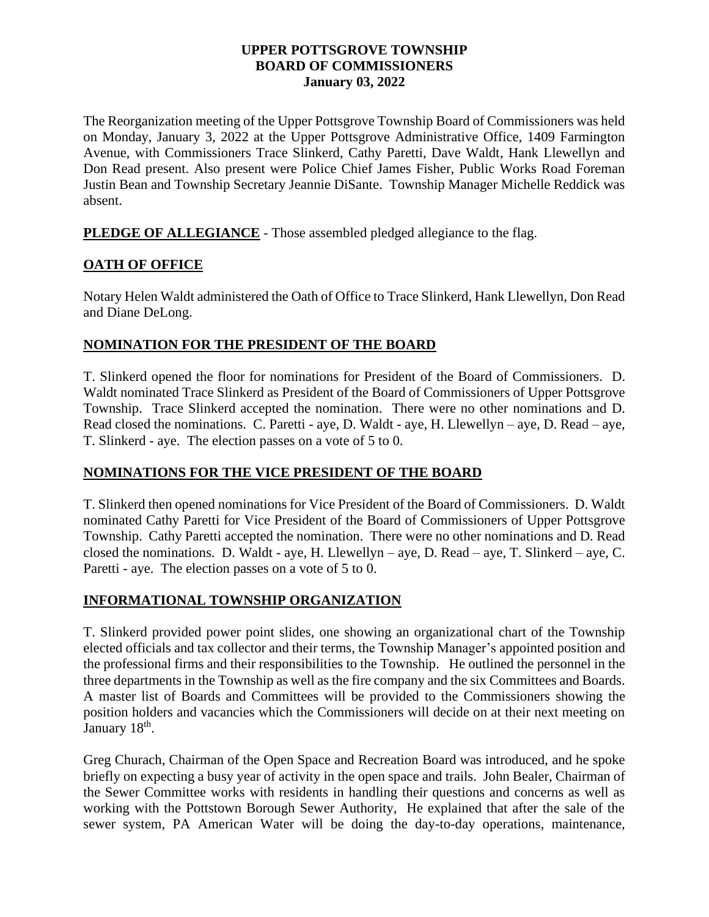#### **UPPER POTTSGROVE TOWNSHIP BOARD OF COMMISSIONERS January 03, 2022**

The Reorganization meeting of the Upper Pottsgrove Township Board of Commissioners was held on Monday, January 3, 2022 at the Upper Pottsgrove Administrative Office, 1409 Farmington Avenue, with Commissioners Trace Slinkerd, Cathy Paretti, Dave Waldt, Hank Llewellyn and Don Read present. Also present were Police Chief James Fisher, Public Works Road Foreman Justin Bean and Township Secretary Jeannie DiSante. Township Manager Michelle Reddick was absent.

**PLEDGE OF ALLEGIANCE** - Those assembled pledged allegiance to the flag.

## **OATH OF OFFICE**

Notary Helen Waldt administered the Oath of Office to Trace Slinkerd, Hank Llewellyn, Don Read and Diane DeLong.

## **NOMINATION FOR THE PRESIDENT OF THE BOARD**

T. Slinkerd opened the floor for nominations for President of the Board of Commissioners. D. Waldt nominated Trace Slinkerd as President of the Board of Commissioners of Upper Pottsgrove Township. Trace Slinkerd accepted the nomination. There were no other nominations and D. Read closed the nominations. C. Paretti - aye, D. Waldt - aye, H. Llewellyn – aye, D. Read – aye, T. Slinkerd - aye. The election passes on a vote of 5 to 0.

# **NOMINATIONS FOR THE VICE PRESIDENT OF THE BOARD**

T. Slinkerd then opened nominations for Vice President of the Board of Commissioners. D. Waldt nominated Cathy Paretti for Vice President of the Board of Commissioners of Upper Pottsgrove Township. Cathy Paretti accepted the nomination. There were no other nominations and D. Read closed the nominations. D. Waldt - aye, H. Llewellyn – aye, D. Read – aye, T. Slinkerd – aye, C. Paretti - aye. The election passes on a vote of 5 to 0.

#### **INFORMATIONAL TOWNSHIP ORGANIZATION**

T. Slinkerd provided power point slides, one showing an organizational chart of the Township elected officials and tax collector and their terms, the Township Manager's appointed position and the professional firms and their responsibilities to the Township. He outlined the personnel in the three departments in the Township as well as the fire company and the six Committees and Boards. A master list of Boards and Committees will be provided to the Commissioners showing the position holders and vacancies which the Commissioners will decide on at their next meeting on January 18<sup>th</sup>.

Greg Churach, Chairman of the Open Space and Recreation Board was introduced, and he spoke briefly on expecting a busy year of activity in the open space and trails. John Bealer, Chairman of the Sewer Committee works with residents in handling their questions and concerns as well as working with the Pottstown Borough Sewer Authority, He explained that after the sale of the sewer system, PA American Water will be doing the day-to-day operations, maintenance,